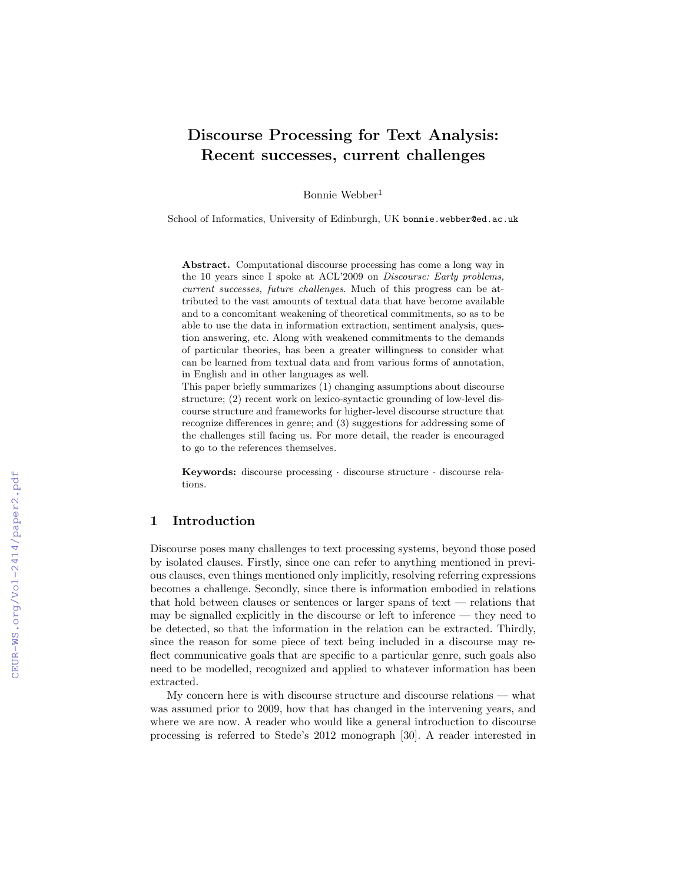# Discourse Processing for Text Analysis: Recent successes, current challenges

Bonnie Webber<sup>1</sup>

School of Informatics, University of Edinburgh, UK bonnie.webber@ed.ac.uk

Abstract. Computational discourse processing has come a long way in the 10 years since I spoke at ACL'2009 on Discourse: Early problems, current successes, future challenges. Much of this progress can be attributed to the vast amounts of textual data that have become available and to a concomitant weakening of theoretical commitments, so as to be able to use the data in information extraction, sentiment analysis, question answering, etc. Along with weakened commitments to the demands of particular theories, has been a greater willingness to consider what can be learned from textual data and from various forms of annotation, in English and in other languages as well.

This paper briefly summarizes (1) changing assumptions about discourse structure; (2) recent work on lexico-syntactic grounding of low-level discourse structure and frameworks for higher-level discourse structure that recognize differences in genre; and (3) suggestions for addressing some of the challenges still facing us. For more detail, the reader is encouraged to go to the references themselves.

Keywords: discourse processing · discourse structure · discourse relations.

## 1 Introduction

Discourse poses many challenges to text processing systems, beyond those posed by isolated clauses. Firstly, since one can refer to anything mentioned in previous clauses, even things mentioned only implicitly, resolving referring expressions becomes a challenge. Secondly, since there is information embodied in relations that hold between clauses or sentences or larger spans of text — relations that may be signalled explicitly in the discourse or left to inference — they need to be detected, so that the information in the relation can be extracted. Thirdly, since the reason for some piece of text being included in a discourse may reflect communicative goals that are specific to a particular genre, such goals also need to be modelled, recognized and applied to whatever information has been extracted.

My concern here is with discourse structure and discourse relations — what was assumed prior to 2009, how that has changed in the intervening years, and where we are now. A reader who would like a general introduction to discourse processing is referred to Stede's 2012 monograph [30]. A reader interested in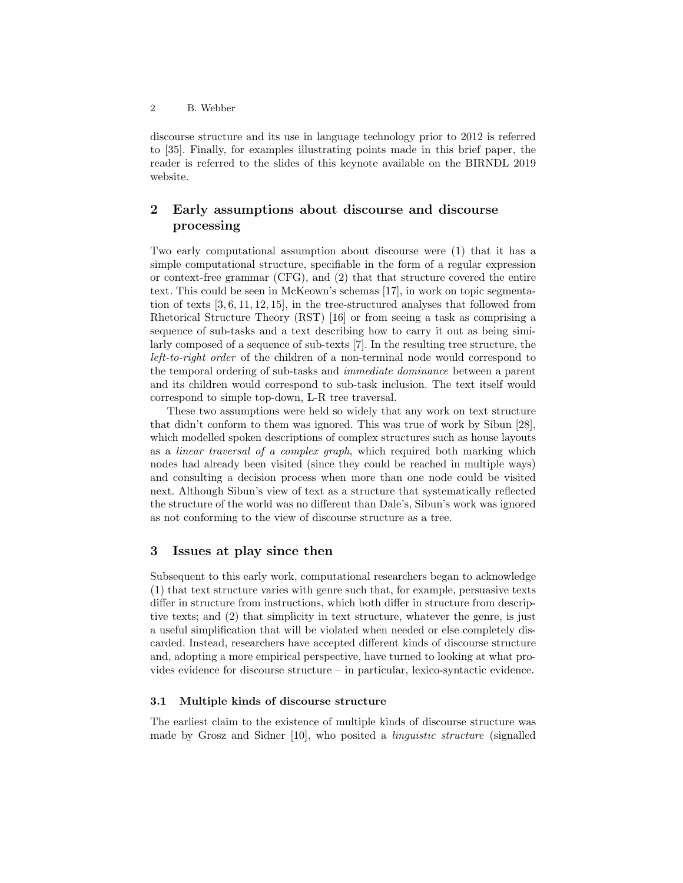discourse structure and its use in language technology prior to 2012 is referred to [35]. Finally, for examples illustrating points made in this brief paper, the reader is referred to the slides of this keynote available on the BIRNDL 2019 website.

# 2 Early assumptions about discourse and discourse processing

Two early computational assumption about discourse were (1) that it has a simple computational structure, specifiable in the form of a regular expression or context-free grammar (CFG), and (2) that that structure covered the entire text. This could be seen in McKeown's schemas [17], in work on topic segmentation of texts [3, 6, 11, 12, 15], in the tree-structured analyses that followed from Rhetorical Structure Theory (RST) [16] or from seeing a task as comprising a sequence of sub-tasks and a text describing how to carry it out as being similarly composed of a sequence of sub-texts [7]. In the resulting tree structure, the left-to-right order of the children of a non-terminal node would correspond to the temporal ordering of sub-tasks and immediate dominance between a parent and its children would correspond to sub-task inclusion. The text itself would correspond to simple top-down, L-R tree traversal.

These two assumptions were held so widely that any work on text structure that didn't conform to them was ignored. This was true of work by Sibun [28], which modelled spoken descriptions of complex structures such as house layouts as a linear traversal of a complex graph, which required both marking which nodes had already been visited (since they could be reached in multiple ways) and consulting a decision process when more than one node could be visited next. Although Sibun's view of text as a structure that systematically reflected the structure of the world was no different than Dale's, Sibun's work was ignored as not conforming to the view of discourse structure as a tree.

## 3 Issues at play since then

Subsequent to this early work, computational researchers began to acknowledge (1) that text structure varies with genre such that, for example, persuasive texts differ in structure from instructions, which both differ in structure from descriptive texts; and (2) that simplicity in text structure, whatever the genre, is just a useful simplification that will be violated when needed or else completely discarded. Instead, researchers have accepted different kinds of discourse structure and, adopting a more empirical perspective, have turned to looking at what provides evidence for discourse structure – in particular, lexico-syntactic evidence.

#### 3.1 Multiple kinds of discourse structure

The earliest claim to the existence of multiple kinds of discourse structure was made by Grosz and Sidner [10], who posited a linguistic structure (signalled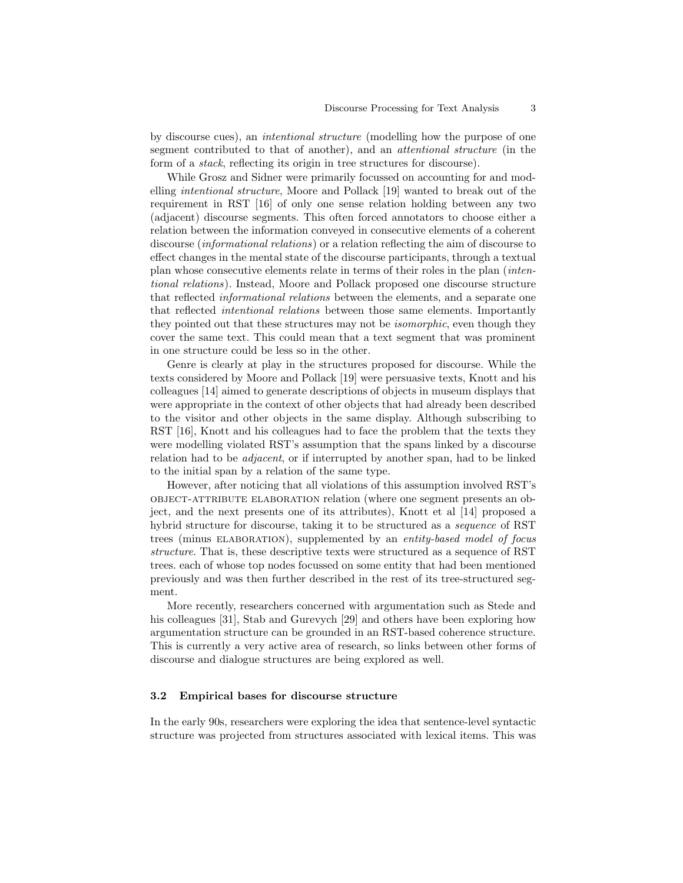by discourse cues), an intentional structure (modelling how the purpose of one segment contributed to that of another), and an attentional structure (in the form of a stack, reflecting its origin in tree structures for discourse).

While Grosz and Sidner were primarily focussed on accounting for and modelling intentional structure, Moore and Pollack [19] wanted to break out of the requirement in RST [16] of only one sense relation holding between any two (adjacent) discourse segments. This often forced annotators to choose either a relation between the information conveyed in consecutive elements of a coherent discourse (informational relations) or a relation reflecting the aim of discourse to effect changes in the mental state of the discourse participants, through a textual plan whose consecutive elements relate in terms of their roles in the plan (intentional relations). Instead, Moore and Pollack proposed one discourse structure that reflected informational relations between the elements, and a separate one that reflected intentional relations between those same elements. Importantly they pointed out that these structures may not be isomorphic, even though they cover the same text. This could mean that a text segment that was prominent in one structure could be less so in the other.

Genre is clearly at play in the structures proposed for discourse. While the texts considered by Moore and Pollack [19] were persuasive texts, Knott and his colleagues [14] aimed to generate descriptions of objects in museum displays that were appropriate in the context of other objects that had already been described to the visitor and other objects in the same display. Although subscribing to RST [16], Knott and his colleagues had to face the problem that the texts they were modelling violated RST's assumption that the spans linked by a discourse relation had to be adjacent, or if interrupted by another span, had to be linked to the initial span by a relation of the same type.

However, after noticing that all violations of this assumption involved RST's object-attribute elaboration relation (where one segment presents an object, and the next presents one of its attributes), Knott et al [14] proposed a hybrid structure for discourse, taking it to be structured as a sequence of RST trees (minus ELABORATION), supplemented by an entity-based model of focus structure. That is, these descriptive texts were structured as a sequence of RST trees. each of whose top nodes focussed on some entity that had been mentioned previously and was then further described in the rest of its tree-structured segment.

More recently, researchers concerned with argumentation such as Stede and his colleagues [31], Stab and Gurevych [29] and others have been exploring how argumentation structure can be grounded in an RST-based coherence structure. This is currently a very active area of research, so links between other forms of discourse and dialogue structures are being explored as well.

#### 3.2 Empirical bases for discourse structure

In the early 90s, researchers were exploring the idea that sentence-level syntactic structure was projected from structures associated with lexical items. This was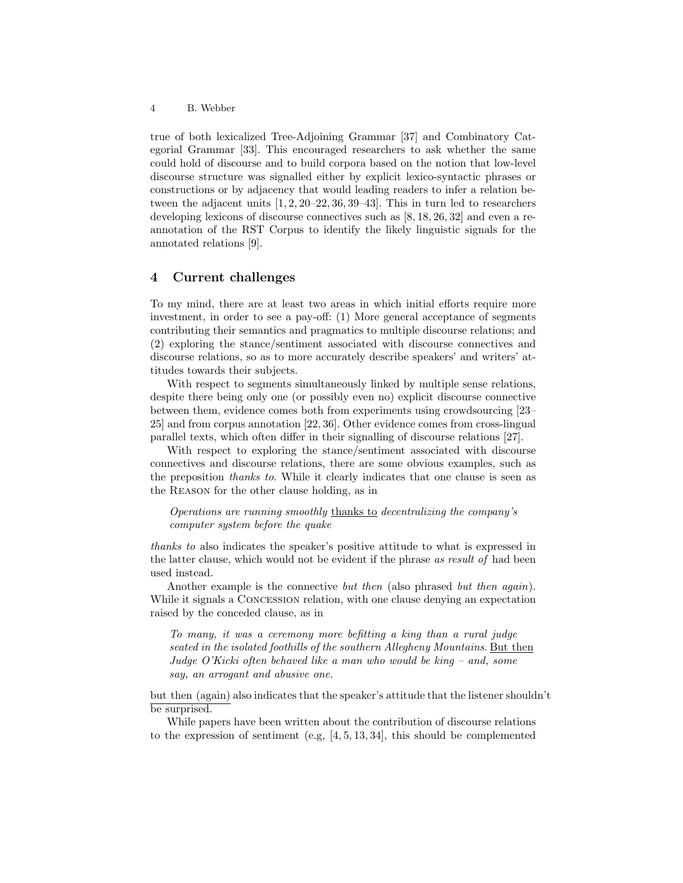4 B. Webber

true of both lexicalized Tree-Adjoining Grammar [37] and Combinatory Categorial Grammar [33]. This encouraged researchers to ask whether the same could hold of discourse and to build corpora based on the notion that low-level discourse structure was signalled either by explicit lexico-syntactic phrases or constructions or by adjacency that would leading readers to infer a relation between the adjacent units [1, 2, 20–22, 36, 39–43]. This in turn led to researchers developing lexicons of discourse connectives such as [8, 18, 26, 32] and even a reannotation of the RST Corpus to identify the likely linguistic signals for the annotated relations [9].

### 4 Current challenges

To my mind, there are at least two areas in which initial efforts require more investment, in order to see a pay-off: (1) More general acceptance of segments contributing their semantics and pragmatics to multiple discourse relations; and (2) exploring the stance/sentiment associated with discourse connectives and discourse relations, so as to more accurately describe speakers' and writers' attitudes towards their subjects.

With respect to segments simultaneously linked by multiple sense relations, despite there being only one (or possibly even no) explicit discourse connective between them, evidence comes both from experiments using crowdsourcing [23– 25] and from corpus annotation [22, 36]. Other evidence comes from cross-lingual parallel texts, which often differ in their signalling of discourse relations [27].

With respect to exploring the stance/sentiment associated with discourse connectives and discourse relations, there are some obvious examples, such as the preposition thanks to. While it clearly indicates that one clause is seen as the Reason for the other clause holding, as in

Operations are running smoothly thanks to decentralizing the company's computer system before the quake

thanks to also indicates the speaker's positive attitude to what is expressed in the latter clause, which would not be evident if the phrase as result of had been used instead.

Another example is the connective *but then* (also phrased *but then again*). While it signals a CONCESSION relation, with one clause denying an expectation raised by the conceded clause, as in

To many, it was a ceremony more befitting a king than a rural judge seated in the isolated foothills of the southern Allegheny Mountains. But then Judge O'Kicki often behaved like a man who would be king – and, some say, an arrogant and abusive one.

but then (again) also indicates that the speaker's attitude that the listener shouldn't be surprised.

While papers have been written about the contribution of discourse relations to the expression of sentiment (e.g,  $[4, 5, 13, 34]$ , this should be complemented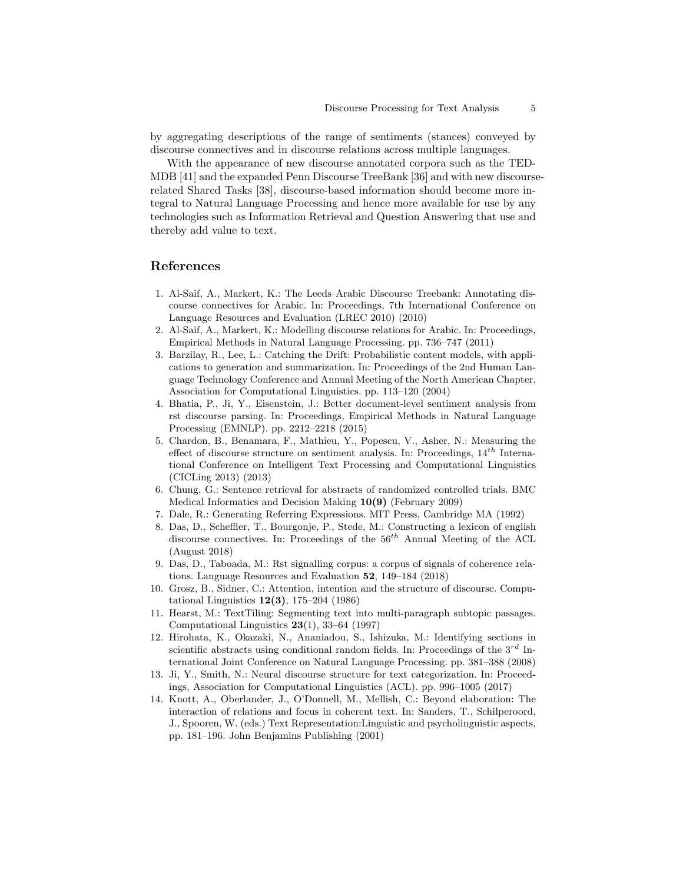by aggregating descriptions of the range of sentiments (stances) conveyed by discourse connectives and in discourse relations across multiple languages.

With the appearance of new discourse annotated corpora such as the TED-MDB [41] and the expanded Penn Discourse TreeBank [36] and with new discourserelated Shared Tasks [38], discourse-based information should become more integral to Natural Language Processing and hence more available for use by any technologies such as Information Retrieval and Question Answering that use and thereby add value to text.

#### References

- 1. Al-Saif, A., Markert, K.: The Leeds Arabic Discourse Treebank: Annotating discourse connectives for Arabic. In: Proceedings, 7th International Conference on Language Resources and Evaluation (LREC 2010) (2010)
- 2. Al-Saif, A., Markert, K.: Modelling discourse relations for Arabic. In: Proceedings, Empirical Methods in Natural Language Processing. pp. 736–747 (2011)
- 3. Barzilay, R., Lee, L.: Catching the Drift: Probabilistic content models, with applications to generation and summarization. In: Proceedings of the 2nd Human Language Technology Conference and Annual Meeting of the North American Chapter, Association for Computational Linguistics. pp. 113–120 (2004)
- 4. Bhatia, P., Ji, Y., Eisenstein, J.: Better document-level sentiment analysis from rst discourse parsing. In: Proceedings, Empirical Methods in Natural Language Processing (EMNLP). pp. 2212–2218 (2015)
- 5. Chardon, B., Benamara, F., Mathieu, Y., Popescu, V., Asher, N.: Measuring the effect of discourse structure on sentiment analysis. In: Proceedings,  $14^{th}$  International Conference on Intelligent Text Processing and Computational Linguistics (CICLing 2013) (2013)
- 6. Chung, G.: Sentence retrieval for abstracts of randomized controlled trials. BMC Medical Informatics and Decision Making 10(9) (February 2009)
- 7. Dale, R.: Generating Referring Expressions. MIT Press, Cambridge MA (1992)
- 8. Das, D., Scheffler, T., Bourgonje, P., Stede, M.: Constructing a lexicon of english discourse connectives. In: Proceedings of the  $56<sup>th</sup>$  Annual Meeting of the ACL (August 2018)
- 9. Das, D., Taboada, M.: Rst signalling corpus: a corpus of signals of coherence relations. Language Resources and Evaluation 52, 149–184 (2018)
- 10. Grosz, B., Sidner, C.: Attention, intention and the structure of discourse. Computational Linguistics  $12(3)$ , 175–204 (1986)
- 11. Hearst, M.: TextTiling: Segmenting text into multi-paragraph subtopic passages. Computational Linguistics  $23(1)$ , 33–64 (1997)
- 12. Hirohata, K., Okazaki, N., Ananiadou, S., Ishizuka, M.: Identifying sections in scientific abstracts using conditional random fields. In: Proceedings of the  $3^{rd}$  International Joint Conference on Natural Language Processing. pp. 381–388 (2008)
- 13. Ji, Y., Smith, N.: Neural discourse structure for text categorization. In: Proceedings, Association for Computational Linguistics (ACL). pp. 996–1005 (2017)
- 14. Knott, A., Oberlander, J., O'Donnell, M., Mellish, C.: Beyond elaboration: The interaction of relations and focus in coherent text. In: Sanders, T., Schilperoord, J., Spooren, W. (eds.) Text Representation:Linguistic and psycholinguistic aspects, pp. 181–196. John Benjamins Publishing (2001)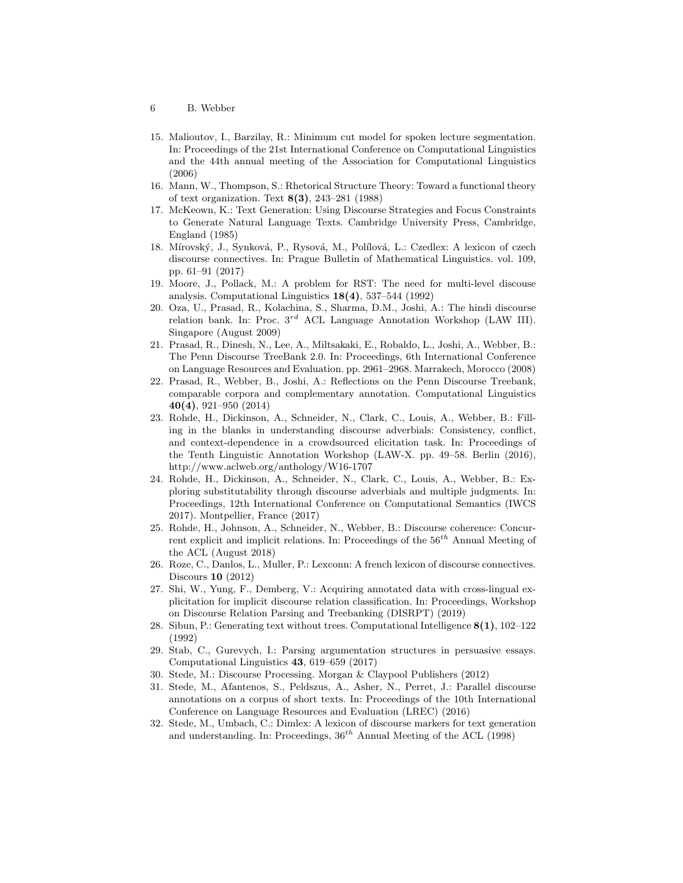- 6 B. Webber
- 15. Malioutov, I., Barzilay, R.: Minimum cut model for spoken lecture segmentation. In: Proceedings of the 21st International Conference on Computational Linguistics and the 44th annual meeting of the Association for Computational Linguistics (2006)
- 16. Mann, W., Thompson, S.: Rhetorical Structure Theory: Toward a functional theory of text organization. Text 8(3), 243–281 (1988)
- 17. McKeown, K.: Text Generation: Using Discourse Strategies and Focus Constraints to Generate Natural Language Texts. Cambridge University Press, Cambridge, England (1985)
- 18. Mírovský, J., Synková, P., Rysová, M., Polílová, L.: Czedlex: A lexicon of czech discourse connectives. In: Prague Bulletin of Mathematical Linguistics. vol. 109, pp. 61–91 (2017)
- 19. Moore, J., Pollack, M.: A problem for RST: The need for multi-level discouse analysis. Computational Linguistics  $18(4)$ , 537–544 (1992)
- 20. Oza, U., Prasad, R., Kolachina, S., Sharma, D.M., Joshi, A.: The hindi discourse relation bank. In: Proc.  $3^{rd}$  ACL Language Annotation Workshop (LAW III). Singapore (August 2009)
- 21. Prasad, R., Dinesh, N., Lee, A., Miltsakaki, E., Robaldo, L., Joshi, A., Webber, B.: The Penn Discourse TreeBank 2.0. In: Proceedings, 6th International Conference on Language Resources and Evaluation. pp. 2961–2968. Marrakech, Morocco (2008)
- 22. Prasad, R., Webber, B., Joshi, A.: Reflections on the Penn Discourse Treebank, comparable corpora and complementary annotation. Computational Linguistics 40(4), 921–950 (2014)
- 23. Rohde, H., Dickinson, A., Schneider, N., Clark, C., Louis, A., Webber, B.: Filling in the blanks in understanding discourse adverbials: Consistency, conflict, and context-dependence in a crowdsourced elicitation task. In: Proceedings of the Tenth Linguistic Annotation Workshop (LAW-X. pp. 49–58. Berlin (2016), http://www.aclweb.org/anthology/W16-1707
- 24. Rohde, H., Dickinson, A., Schneider, N., Clark, C., Louis, A., Webber, B.: Exploring substitutability through discourse adverbials and multiple judgments. In: Proceedings, 12th International Conference on Computational Semantics (IWCS 2017). Montpellier, France (2017)
- 25. Rohde, H., Johnson, A., Schneider, N., Webber, B.: Discourse coherence: Concurrent explicit and implicit relations. In: Proceedings of the  $56<sup>th</sup>$  Annual Meeting of the ACL (August 2018)
- 26. Roze, C., Danlos, L., Muller, P.: Lexconn: A french lexicon of discourse connectives. Discours 10 (2012)
- 27. Shi, W., Yung, F., Demberg, V.: Acquiring annotated data with cross-lingual explicitation for implicit discourse relation classification. In: Proceedings, Workshop on Discourse Relation Parsing and Treebanking (DISRPT) (2019)
- 28. Sibun, P.: Generating text without trees. Computational Intelligence 8(1), 102–122 (1992)
- 29. Stab, C., Gurevych, I.: Parsing argumentation structures in persuasive essays. Computational Linguistics 43, 619–659 (2017)
- 30. Stede, M.: Discourse Processing. Morgan & Claypool Publishers (2012)
- 31. Stede, M., Afantenos, S., Peldszus, A., Asher, N., Perret, J.: Parallel discourse annotations on a corpus of short texts. In: Proceedings of the 10th International Conference on Language Resources and Evaluation (LREC) (2016)
- 32. Stede, M., Umbach, C.: Dimlex: A lexicon of discourse markers for text generation and understanding. In: Proceedings,  $36^{th}$  Annual Meeting of the ACL (1998)